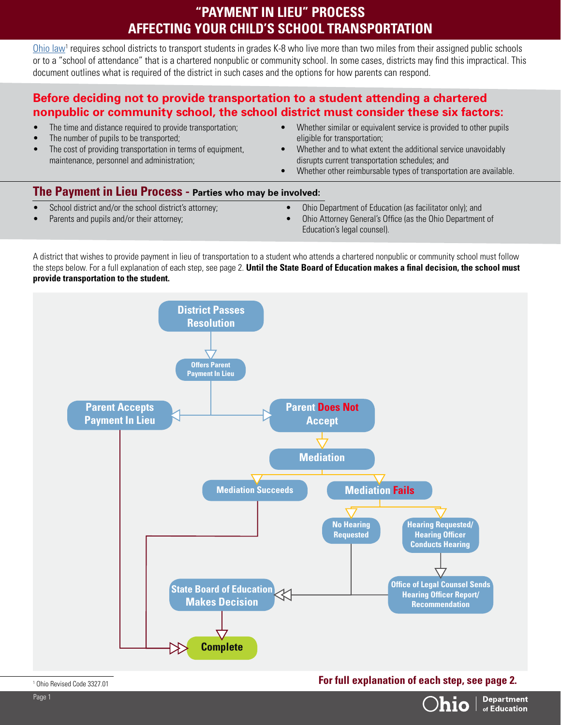## **"PAYMENT IN LIEU" PROCESS AFFECTING YOUR CHILD'S SCHOOL TRANSPORTATION**

[Ohio law](http://codes.ohio.gov/orc/3327.01)<sup>1</sup> requires school districts to transport students in grades K-8 who live more than two miles from their assigned public schools or to a "school of attendance" that is a chartered nonpublic or community school. In some cases, districts may find this impractical. This document outlines what is required of the district in such cases and the options for how parents can respond.

## **Before deciding not to provide transportation to a student attending a chartered nonpublic or community school, the school district must consider these six factors:**

- The time and distance required to provide transportation:
- The number of pupils to be transported;
- The cost of providing transportation in terms of equipment, maintenance, personnel and administration;
- Whether similar or equivalent service is provided to other pupils eligible for transportation;
- Whether and to what extent the additional service unavoidably disrupts current transportation schedules; and
- Whether other reimbursable types of transportation are available.

## **The Payment in Lieu Process - Parties who may be involved:**

- School district and/or the school district's attorney;
- Parents and pupils and/or their attorney;
- Ohio Department of Education (as facilitator only); and
- Ohio Attorney General's Office (as the Ohio Department of Education's legal counsel).

A district that wishes to provide payment in lieu of transportation to a student who attends a chartered nonpublic or community school must follow the steps below. For a full explanation of each step, see page 2. **Until the State Board of Education makes a final decision, the school must provide transportation to the student.** 



1 Ohio Revised Code 3327.01 **For full explanation of each step, see page 2.** 

**Department** of Education